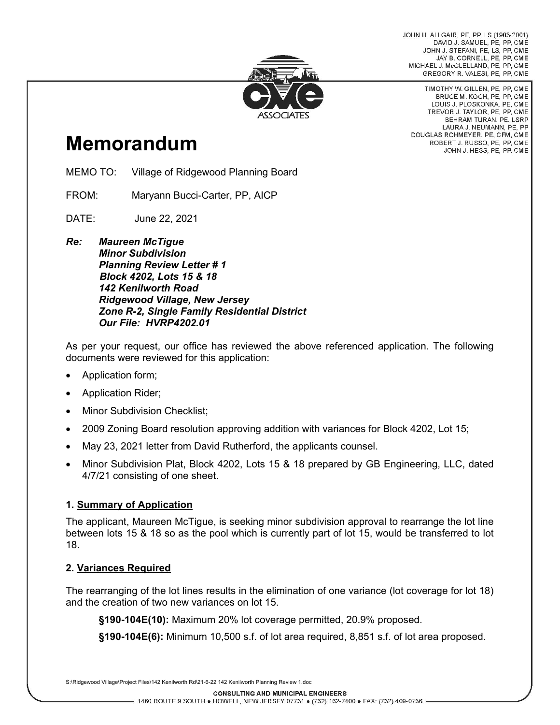JOHN H. ALLGAIR, PE, PP, LS (1983-2001) DAVID J. SAMUEL, PE, PP, CME JOHN J. STEFANI, PE, LS, PP, CME JAY B. CORNELL, PE, PP, CME MICHAEL J. McCLELLAND, PE, PP, CME GREGORY R. VALESI, PE, PP, CME



# **Memorandum**

MEMO TO: Village of Ridgewood Planning Board

FROM: Maryann Bucci-Carter, PP, AICP

DATE: June 22, 2021

*Re: Maureen McTigue Minor Subdivision Planning Review Letter # 1 Block 4202, Lots 15 & 18 142 Kenilworth Road Ridgewood Village, New Jersey Zone R-2, Single Family Residential District Our File: HVRP4202.01*

As per your request, our office has reviewed the above referenced application. The following documents were reviewed for this application:

- Application form;
- Application Rider;
- **Minor Subdivision Checklist;**
- 2009 Zoning Board resolution approving addition with variances for Block 4202, Lot 15;
- May 23, 2021 letter from David Rutherford, the applicants counsel.
- Minor Subdivision Plat, Block 4202, Lots 15 & 18 prepared by GB Engineering, LLC, dated 4/7/21 consisting of one sheet.

## **1. Summary of Application**

The applicant, Maureen McTigue, is seeking minor subdivision approval to rearrange the lot line between lots 15 & 18 so as the pool which is currently part of lot 15, would be transferred to lot 18.

#### **2. Variances Required**

The rearranging of the lot lines results in the elimination of one variance (lot coverage for lot 18) and the creation of two new variances on lot 15.

**§190-104E(10):** Maximum 20% lot coverage permitted, 20.9% proposed.

**§190-104E(6):** Minimum 10,500 s.f. of lot area required, 8,851 s.f. of lot area proposed.

S:\Ridgewood Village\Project Files\142 Kenilworth Rd\21-6-22 142 Kenilworth Planning Review 1.doc

TIMOTHY W. GILLEN, PE, PP, CME BRUCE M. KOCH, PE, PP, CME LOUIS J. PLOSKONKA, PE, CME TREVOR J. TAYLOR, PE, PP, CME BEHRAM TURAN, PE, LSRP LAURA J. NEUMANN, PE, PP DOUGLAS ROHMEYER, PE, CFM, CME ROBERT J. RUSSO, PE, PP, CME JOHN J. HESS, PE, PP, CME